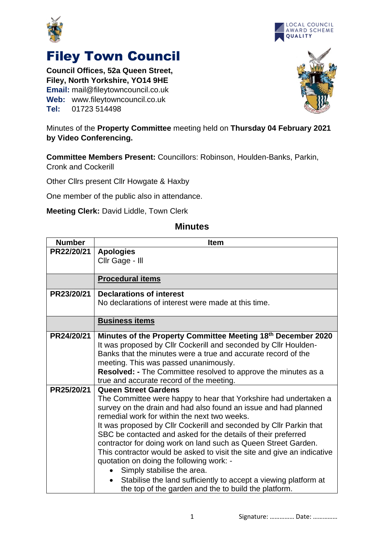



## Filey Town Council

**Council Offices, 52a Queen Street, Filey, North Yorkshire, YO14 9HE Email:** mail@fileytowncouncil.co.uk **Web:** www.fileytowncouncil.co.uk **Tel:** 01723 514498



Minutes of the **Property Committee** meeting held on **Thursday 04 February 2021 by Video Conferencing.**

**Committee Members Present:** Councillors: Robinson, Houlden-Banks, Parkin, Cronk and Cockerill

Other Cllrs present Cllr Howgate & Haxby

One member of the public also in attendance.

**Meeting Clerk:** David Liddle, Town Clerk

## **Minutes**

| <b>Number</b> | <b>Item</b>                                                             |
|---------------|-------------------------------------------------------------------------|
| PR22/20/21    | <b>Apologies</b>                                                        |
|               | Cllr Gage - Ill                                                         |
|               |                                                                         |
|               | <b>Procedural items</b>                                                 |
| PR23/20/21    | <b>Declarations of interest</b>                                         |
|               | No declarations of interest were made at this time.                     |
|               | <b>Business items</b>                                                   |
| PR24/20/21    | Minutes of the Property Committee Meeting 18th December 2020            |
|               | It was proposed by CIIr Cockerill and seconded by CIIr Houlden-         |
|               | Banks that the minutes were a true and accurate record of the           |
|               | meeting. This was passed unanimously.                                   |
|               | Resolved: - The Committee resolved to approve the minutes as a          |
|               | true and accurate record of the meeting.                                |
| PR25/20/21    | <b>Queen Street Gardens</b>                                             |
|               | The Committee were happy to hear that Yorkshire had undertaken a        |
|               | survey on the drain and had also found an issue and had planned         |
|               | remedial work for within the next two weeks.                            |
|               | It was proposed by Cllr Cockerill and seconded by Cllr Parkin that      |
|               | SBC be contacted and asked for the details of their preferred           |
|               | contractor for doing work on land such as Queen Street Garden.          |
|               | This contractor would be asked to visit the site and give an indicative |
|               | quotation on doing the following work: -                                |
|               | Simply stabilise the area.                                              |
|               | Stabilise the land sufficiently to accept a viewing platform at         |
|               | the top of the garden and the to build the platform.                    |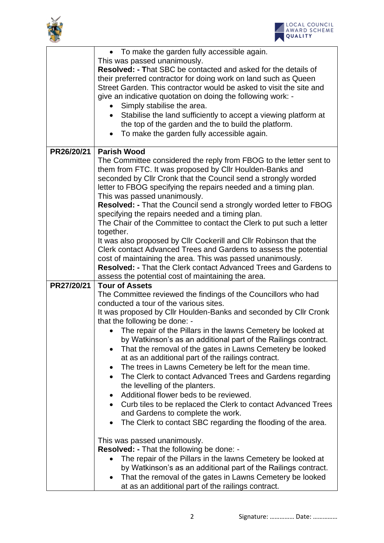

|            | • To make the garden fully accessible again.<br>This was passed unanimously.<br><b>Resolved: - That SBC be contacted and asked for the details of</b>                                                                                                                                                                                                                                                                                                                                                                                                                                                                                                                                                                                                                                                                                                                                                                                                            |
|------------|------------------------------------------------------------------------------------------------------------------------------------------------------------------------------------------------------------------------------------------------------------------------------------------------------------------------------------------------------------------------------------------------------------------------------------------------------------------------------------------------------------------------------------------------------------------------------------------------------------------------------------------------------------------------------------------------------------------------------------------------------------------------------------------------------------------------------------------------------------------------------------------------------------------------------------------------------------------|
|            | their preferred contractor for doing work on land such as Queen<br>Street Garden. This contractor would be asked to visit the site and<br>give an indicative quotation on doing the following work: -                                                                                                                                                                                                                                                                                                                                                                                                                                                                                                                                                                                                                                                                                                                                                            |
|            | Simply stabilise the area.<br>Stabilise the land sufficiently to accept a viewing platform at<br>the top of the garden and the to build the platform.<br>To make the garden fully accessible again.<br>$\bullet$                                                                                                                                                                                                                                                                                                                                                                                                                                                                                                                                                                                                                                                                                                                                                 |
| PR26/20/21 | <b>Parish Wood</b><br>The Committee considered the reply from FBOG to the letter sent to<br>them from FTC. It was proposed by CIIr Houlden-Banks and<br>seconded by Cllr Cronk that the Council send a strongly worded<br>letter to FBOG specifying the repairs needed and a timing plan.<br>This was passed unanimously.<br>Resolved: - That the Council send a strongly worded letter to FBOG<br>specifying the repairs needed and a timing plan.<br>The Chair of the Committee to contact the Clerk to put such a letter<br>together.<br>It was also proposed by Cllr Cockerill and Cllr Robinson that the                                                                                                                                                                                                                                                                                                                                                    |
|            | Clerk contact Advanced Trees and Gardens to assess the potential<br>cost of maintaining the area. This was passed unanimously.<br><b>Resolved: - That the Clerk contact Advanced Trees and Gardens to</b><br>assess the potential cost of maintaining the area.                                                                                                                                                                                                                                                                                                                                                                                                                                                                                                                                                                                                                                                                                                  |
| PR27/20/21 | <b>Tour of Assets</b><br>The Committee reviewed the findings of the Councillors who had<br>conducted a tour of the various sites.<br>It was proposed by Cllr Houlden-Banks and seconded by Cllr Cronk<br>that the following be done: -<br>• The repair of the Pillars in the lawns Cemetery be looked at<br>by Watkinson's as an additional part of the Railings contract.<br>That the removal of the gates in Lawns Cemetery be looked<br>at as an additional part of the railings contract.<br>The trees in Lawns Cemetery be left for the mean time.<br>$\bullet$<br>The Clerk to contact Advanced Trees and Gardens regarding<br>the levelling of the planters.<br>Additional flower beds to be reviewed.<br>Curb tiles to be replaced the Clerk to contact Advanced Trees<br>and Gardens to complete the work.<br>The Clerk to contact SBC regarding the flooding of the area.<br>This was passed unanimously.<br>Resolved: - That the following be done: - |
|            | The repair of the Pillars in the lawns Cemetery be looked at<br>by Watkinson's as an additional part of the Railings contract.<br>That the removal of the gates in Lawns Cemetery be looked<br>at as an additional part of the railings contract.                                                                                                                                                                                                                                                                                                                                                                                                                                                                                                                                                                                                                                                                                                                |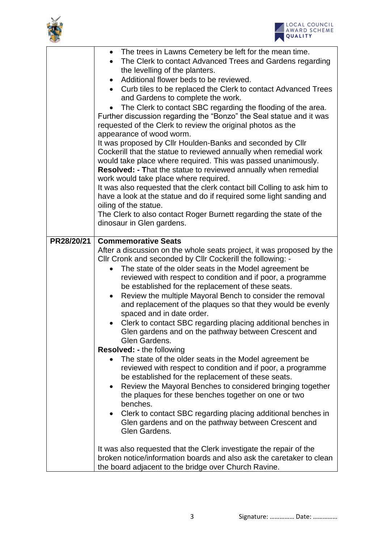



|            | The trees in Lawns Cemetery be left for the mean time.                                          |  |  |
|------------|-------------------------------------------------------------------------------------------------|--|--|
|            | The Clerk to contact Advanced Trees and Gardens regarding                                       |  |  |
|            | the levelling of the planters.                                                                  |  |  |
|            | Additional flower beds to be reviewed.                                                          |  |  |
|            | Curb tiles to be replaced the Clerk to contact Advanced Trees                                   |  |  |
|            | and Gardens to complete the work.                                                               |  |  |
|            | The Clerk to contact SBC regarding the flooding of the area.                                    |  |  |
|            | Further discussion regarding the "Bonzo" the Seal statue and it was                             |  |  |
|            | requested of the Clerk to review the original photos as the                                     |  |  |
|            | appearance of wood worm.                                                                        |  |  |
|            | It was proposed by Cllr Houlden-Banks and seconded by Cllr                                      |  |  |
|            | Cockerill that the statue to reviewed annually when remedial work                               |  |  |
|            | would take place where required. This was passed unanimously.                                   |  |  |
|            | Resolved: - That the statue to reviewed annually when remedial                                  |  |  |
|            | work would take place where required.                                                           |  |  |
|            | It was also requested that the clerk contact bill Colling to ask him to                         |  |  |
|            | have a look at the statue and do if required some light sanding and<br>oiling of the statue.    |  |  |
|            |                                                                                                 |  |  |
|            | The Clerk to also contact Roger Burnett regarding the state of the<br>dinosaur in Glen gardens. |  |  |
|            |                                                                                                 |  |  |
| PR28/20/21 | <b>Commemorative Seats</b>                                                                      |  |  |
|            | After a discussion on the whole seats project, it was proposed by the                           |  |  |
|            | Cllr Cronk and seconded by Cllr Cockerill the following: -                                      |  |  |
|            | The state of the older seats in the Model agreement be                                          |  |  |
|            | reviewed with respect to condition and if poor, a programme                                     |  |  |
|            | be established for the replacement of these seats.                                              |  |  |
|            | Review the multiple Mayoral Bench to consider the removal                                       |  |  |
|            | and replacement of the plaques so that they would be evenly                                     |  |  |
|            | spaced and in date order.                                                                       |  |  |
|            | Clerk to contact SBC regarding placing additional benches in                                    |  |  |
|            | Glen gardens and on the pathway between Crescent and                                            |  |  |
|            | Glen Gardens.                                                                                   |  |  |
|            | <b>Resolved: - the following</b>                                                                |  |  |
|            | The state of the older seats in the Model agreement be                                          |  |  |
|            | reviewed with respect to condition and if poor, a programme                                     |  |  |
|            | be established for the replacement of these seats.                                              |  |  |
|            | Review the Mayoral Benches to considered bringing together<br>$\bullet$                         |  |  |
|            | the plaques for these benches together on one or two                                            |  |  |
|            | benches.                                                                                        |  |  |
|            | Clerk to contact SBC regarding placing additional benches in                                    |  |  |
|            | Glen gardens and on the pathway between Crescent and                                            |  |  |
|            | Glen Gardens.                                                                                   |  |  |
|            |                                                                                                 |  |  |
|            | It was also requested that the Clerk investigate the repair of the                              |  |  |
|            | broken notice/information boards and also ask the caretaker to clean                            |  |  |
|            | the board adjacent to the bridge over Church Ravine.                                            |  |  |